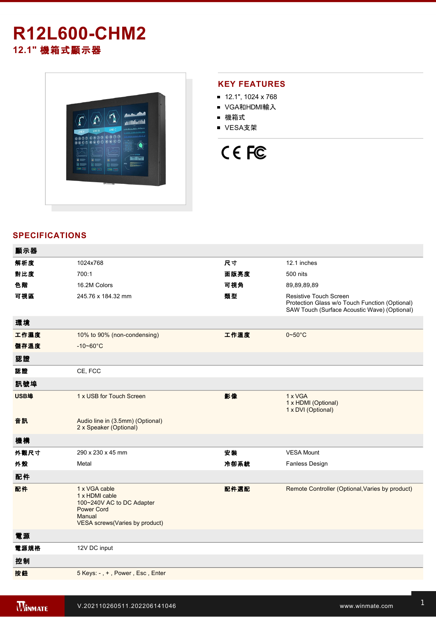# **R12L600-CHM2 12.1"** 機箱式顯示器



# **KEY FEATURES**

- 12.1", 1024 x 768
- VGA和HDMI輸入
- 機箱式
- VESA支架

# CE FC

# **SPECIFICATIONS**

| 顯示器  |                                                                                                                               |      |                                                                                                                                 |
|------|-------------------------------------------------------------------------------------------------------------------------------|------|---------------------------------------------------------------------------------------------------------------------------------|
| 解析度  | 1024x768                                                                                                                      | 尺寸   | 12.1 inches                                                                                                                     |
| 對比度  | 700:1                                                                                                                         | 面版亮度 | 500 nits                                                                                                                        |
| 色階   | 16.2M Colors                                                                                                                  | 可視角  | 89,89,89,89                                                                                                                     |
| 可視區  | 245.76 x 184.32 mm                                                                                                            | 類型   | <b>Resistive Touch Screen</b><br>Protection Glass w/o Touch Function (Optional)<br>SAW Touch (Surface Acoustic Wave) (Optional) |
| 環境   |                                                                                                                               |      |                                                                                                                                 |
| 工作濕度 | 10% to 90% (non-condensing)                                                                                                   | 工作溫度 | $0 - 50$ °C                                                                                                                     |
| 儲存溫度 | $-10 - 60^{\circ}C$                                                                                                           |      |                                                                                                                                 |
| 認證   |                                                                                                                               |      |                                                                                                                                 |
| 認證   | CE, FCC                                                                                                                       |      |                                                                                                                                 |
| 訊號埠  |                                                                                                                               |      |                                                                                                                                 |
| USB埠 | 1 x USB for Touch Screen                                                                                                      | 影像   | 1 x VGA<br>1 x HDMI (Optional)<br>1 x DVI (Optional)                                                                            |
| 音訊   | Audio line in (3.5mm) (Optional)<br>2 x Speaker (Optional)                                                                    |      |                                                                                                                                 |
| 機構   |                                                                                                                               |      |                                                                                                                                 |
| 外觀尺寸 | 290 x 230 x 45 mm                                                                                                             | 安裝   | <b>VESA Mount</b>                                                                                                               |
| 外殼   | Metal                                                                                                                         | 冷卻系統 | <b>Fanless Design</b>                                                                                                           |
| 配件   |                                                                                                                               |      |                                                                                                                                 |
| 配件   | 1 x VGA cable<br>1 x HDMI cable<br>100~240V AC to DC Adapter<br><b>Power Cord</b><br>Manual<br>VESA screws(Varies by product) | 配件選配 | Remote Controller (Optional, Varies by product)                                                                                 |
| 電源   |                                                                                                                               |      |                                                                                                                                 |
| 電源規格 | 12V DC input                                                                                                                  |      |                                                                                                                                 |
| 控制   |                                                                                                                               |      |                                                                                                                                 |
| 按鈕   | 5 Keys: -, +, Power, Esc, Enter                                                                                               |      |                                                                                                                                 |